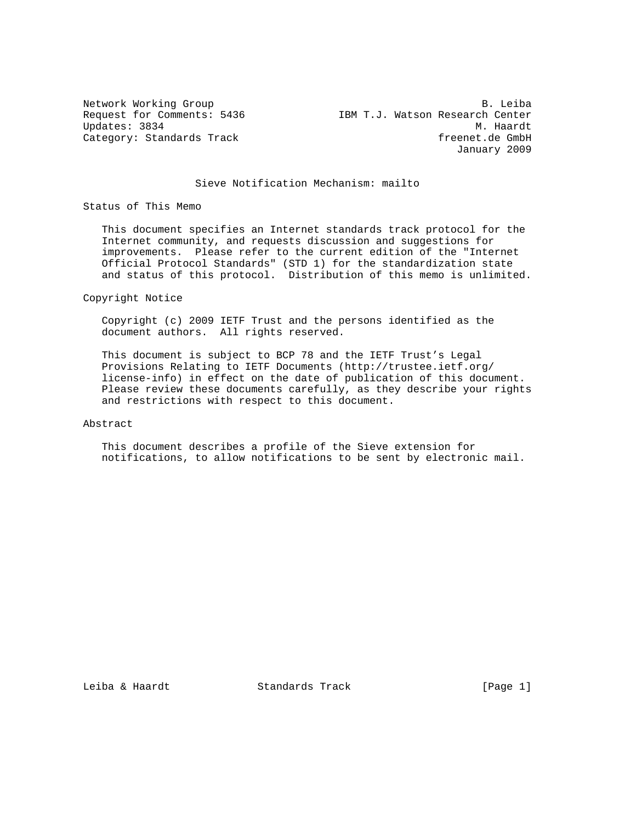Network Working Group and the set of the set of the set of the set of the set of the set of the set of the set of the set of the set of the set of the set of the set of the set of the set of the set of the set of the set o Request for Comments: 5436 IBM T.J. Watson Research Center Updates: 3834 M. Haardt Category: Standards Track freenet.de GmbH January 2009

### Sieve Notification Mechanism: mailto

Status of This Memo

 This document specifies an Internet standards track protocol for the Internet community, and requests discussion and suggestions for improvements. Please refer to the current edition of the "Internet Official Protocol Standards" (STD 1) for the standardization state and status of this protocol. Distribution of this memo is unlimited.

Copyright Notice

 Copyright (c) 2009 IETF Trust and the persons identified as the document authors. All rights reserved.

 This document is subject to BCP 78 and the IETF Trust's Legal Provisions Relating to IETF Documents (http://trustee.ietf.org/ license-info) in effect on the date of publication of this document. Please review these documents carefully, as they describe your rights and restrictions with respect to this document.

# Abstract

 This document describes a profile of the Sieve extension for notifications, to allow notifications to be sent by electronic mail.

Leiba & Haardt Standards Track [Page 1]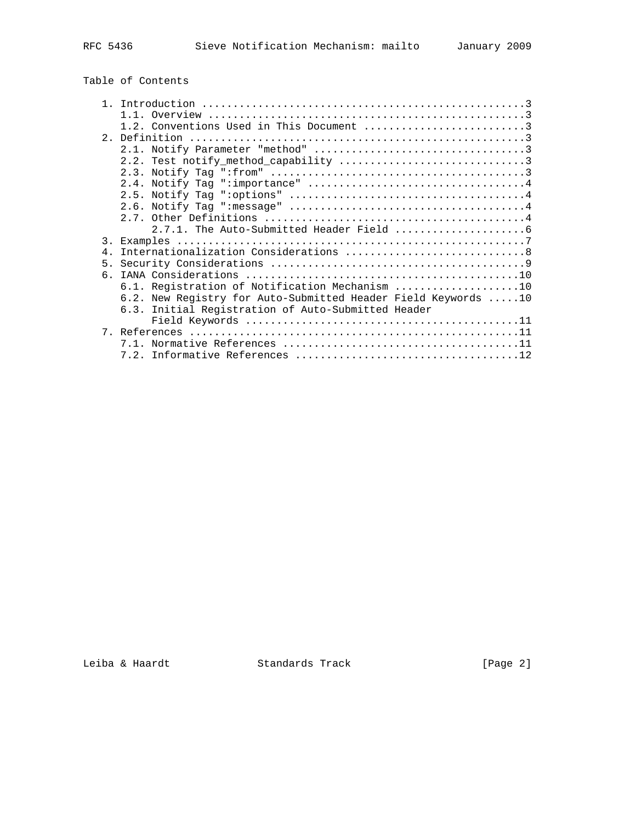# Table of Contents

|           | 1 1                                                           |
|-----------|---------------------------------------------------------------|
|           | 1.2. Conventions Used in This Document 3                      |
|           |                                                               |
|           |                                                               |
|           |                                                               |
|           |                                                               |
|           |                                                               |
|           |                                                               |
|           |                                                               |
|           |                                                               |
|           |                                                               |
|           |                                                               |
| 3.        |                                                               |
| $4 \cdot$ |                                                               |
| 5.        |                                                               |
| რ.        |                                                               |
|           | 6.1. Registration of Notification Mechanism 10                |
|           | 6.2. New Registry for Auto-Submitted Header Field Keywords 10 |
|           | 6.3. Initial Registration of Auto-Submitted Header            |
|           |                                                               |
|           |                                                               |
|           |                                                               |
|           |                                                               |
|           |                                                               |

Leiba & Haardt Standards Track [Page 2]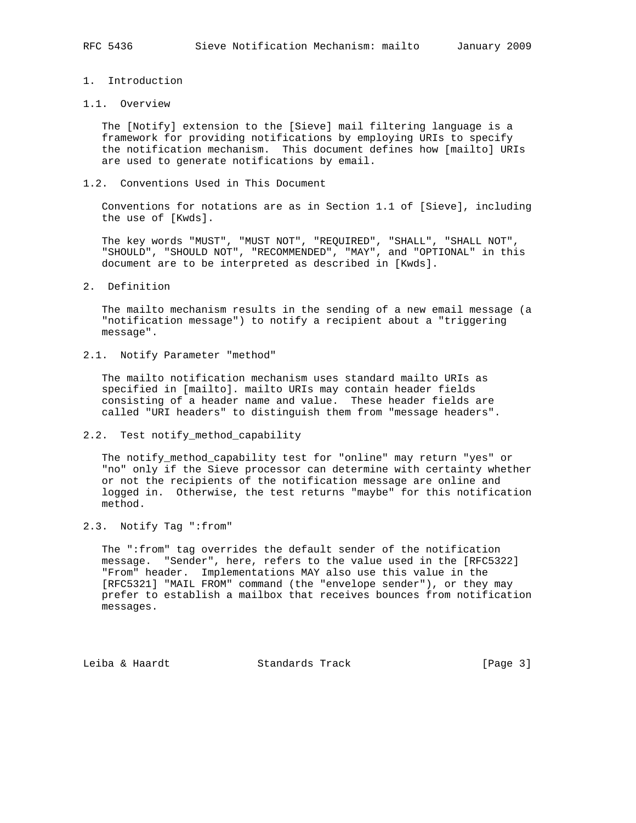## 1. Introduction

#### 1.1. Overview

 The [Notify] extension to the [Sieve] mail filtering language is a framework for providing notifications by employing URIs to specify the notification mechanism. This document defines how [mailto] URIs are used to generate notifications by email.

1.2. Conventions Used in This Document

 Conventions for notations are as in Section 1.1 of [Sieve], including the use of [Kwds].

 The key words "MUST", "MUST NOT", "REQUIRED", "SHALL", "SHALL NOT", "SHOULD", "SHOULD NOT", "RECOMMENDED", "MAY", and "OPTIONAL" in this document are to be interpreted as described in [Kwds].

2. Definition

 The mailto mechanism results in the sending of a new email message (a "notification message") to notify a recipient about a "triggering message".

2.1. Notify Parameter "method"

 The mailto notification mechanism uses standard mailto URIs as specified in [mailto]. mailto URIs may contain header fields consisting of a header name and value. These header fields are called "URI headers" to distinguish them from "message headers".

2.2. Test notify\_method\_capability

The notify method capability test for "online" may return "yes" or "no" only if the Sieve processor can determine with certainty whether or not the recipients of the notification message are online and logged in. Otherwise, the test returns "maybe" for this notification method.

2.3. Notify Tag ":from"

 The ":from" tag overrides the default sender of the notification message. "Sender", here, refers to the value used in the [RFC5322] "From" header. Implementations MAY also use this value in the [RFC5321] "MAIL FROM" command (the "envelope sender"), or they may prefer to establish a mailbox that receives bounces from notification messages.

Leiba & Haardt Standards Track [Page 3]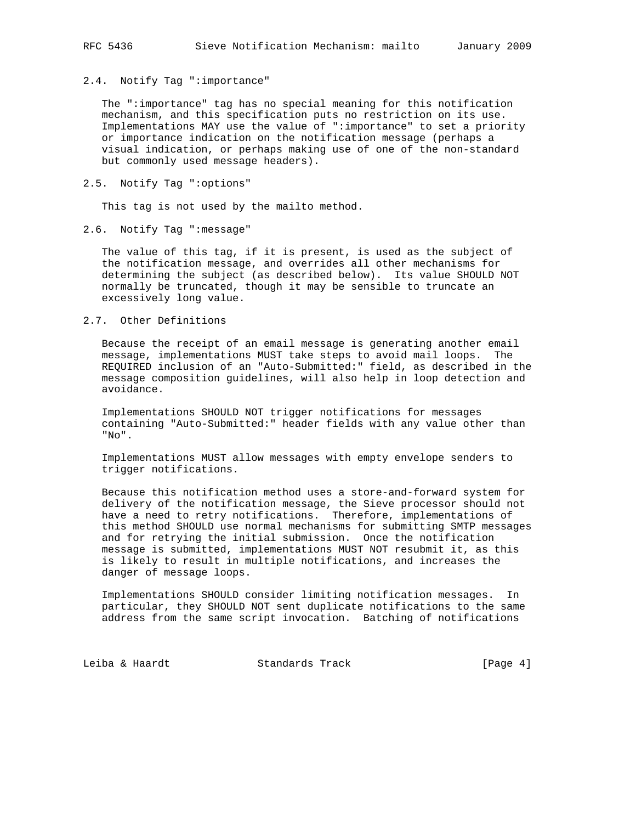2.4. Notify Tag ":importance"

 The ":importance" tag has no special meaning for this notification mechanism, and this specification puts no restriction on its use. Implementations MAY use the value of ":importance" to set a priority or importance indication on the notification message (perhaps a visual indication, or perhaps making use of one of the non-standard but commonly used message headers).

2.5. Notify Tag ":options"

This tag is not used by the mailto method.

2.6. Notify Tag ":message"

 The value of this tag, if it is present, is used as the subject of the notification message, and overrides all other mechanisms for determining the subject (as described below). Its value SHOULD NOT normally be truncated, though it may be sensible to truncate an excessively long value.

2.7. Other Definitions

 Because the receipt of an email message is generating another email message, implementations MUST take steps to avoid mail loops. The REQUIRED inclusion of an "Auto-Submitted:" field, as described in the message composition guidelines, will also help in loop detection and avoidance.

 Implementations SHOULD NOT trigger notifications for messages containing "Auto-Submitted:" header fields with any value other than "No".

 Implementations MUST allow messages with empty envelope senders to trigger notifications.

 Because this notification method uses a store-and-forward system for delivery of the notification message, the Sieve processor should not have a need to retry notifications. Therefore, implementations of this method SHOULD use normal mechanisms for submitting SMTP messages and for retrying the initial submission. Once the notification message is submitted, implementations MUST NOT resubmit it, as this is likely to result in multiple notifications, and increases the danger of message loops.

 Implementations SHOULD consider limiting notification messages. In particular, they SHOULD NOT sent duplicate notifications to the same address from the same script invocation. Batching of notifications

Leiba & Haardt Standards Track [Page 4]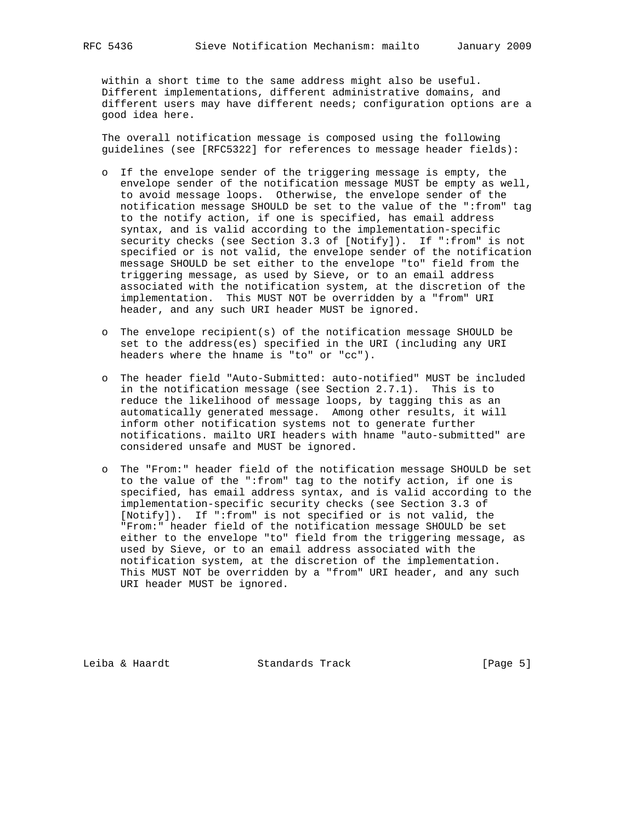within a short time to the same address might also be useful. Different implementations, different administrative domains, and different users may have different needs; configuration options are a good idea here.

 The overall notification message is composed using the following guidelines (see [RFC5322] for references to message header fields):

- o If the envelope sender of the triggering message is empty, the envelope sender of the notification message MUST be empty as well, to avoid message loops. Otherwise, the envelope sender of the notification message SHOULD be set to the value of the ":from" tag to the notify action, if one is specified, has email address syntax, and is valid according to the implementation-specific security checks (see Section 3.3 of [Notify]). If ":from" is not specified or is not valid, the envelope sender of the notification message SHOULD be set either to the envelope "to" field from the triggering message, as used by Sieve, or to an email address associated with the notification system, at the discretion of the implementation. This MUST NOT be overridden by a "from" URI header, and any such URI header MUST be ignored.
- o The envelope recipient(s) of the notification message SHOULD be set to the address(es) specified in the URI (including any URI headers where the hname is "to" or "cc").
- o The header field "Auto-Submitted: auto-notified" MUST be included in the notification message (see Section 2.7.1). This is to reduce the likelihood of message loops, by tagging this as an automatically generated message. Among other results, it will inform other notification systems not to generate further notifications. mailto URI headers with hname "auto-submitted" are considered unsafe and MUST be ignored.
- o The "From:" header field of the notification message SHOULD be set to the value of the ":from" tag to the notify action, if one is specified, has email address syntax, and is valid according to the implementation-specific security checks (see Section 3.3 of [Notify]). If ":from" is not specified or is not valid, the "From:" header field of the notification message SHOULD be set either to the envelope "to" field from the triggering message, as used by Sieve, or to an email address associated with the notification system, at the discretion of the implementation. This MUST NOT be overridden by a "from" URI header, and any such URI header MUST be ignored.

Leiba & Haardt Standards Track [Page 5]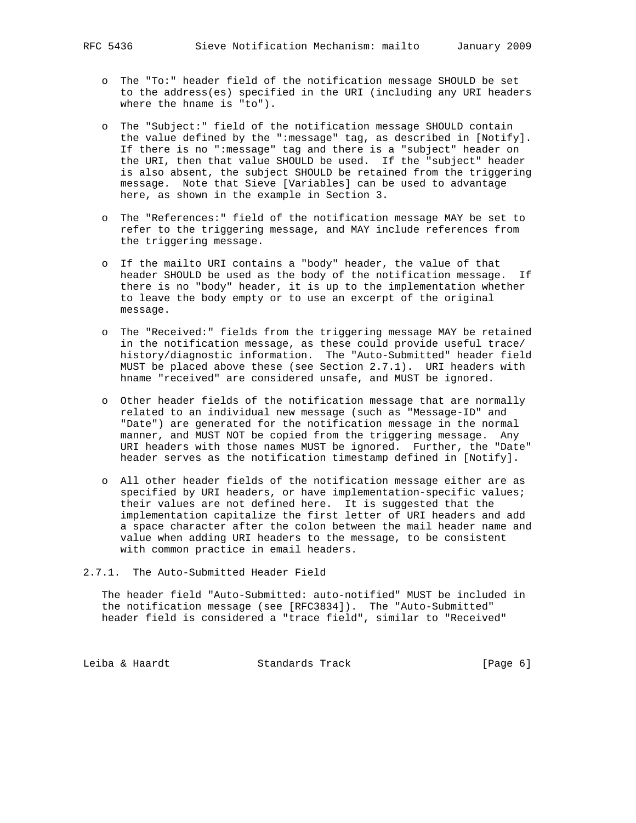- o The "To:" header field of the notification message SHOULD be set to the address(es) specified in the URI (including any URI headers where the hname is "to").
- o The "Subject:" field of the notification message SHOULD contain the value defined by the ":message" tag, as described in [Notify]. If there is no ":message" tag and there is a "subject" header on the URI, then that value SHOULD be used. If the "subject" header is also absent, the subject SHOULD be retained from the triggering message. Note that Sieve [Variables] can be used to advantage here, as shown in the example in Section 3.
- o The "References:" field of the notification message MAY be set to refer to the triggering message, and MAY include references from the triggering message.
- o If the mailto URI contains a "body" header, the value of that header SHOULD be used as the body of the notification message. If there is no "body" header, it is up to the implementation whether to leave the body empty or to use an excerpt of the original message.
- o The "Received:" fields from the triggering message MAY be retained in the notification message, as these could provide useful trace/ history/diagnostic information. The "Auto-Submitted" header field MUST be placed above these (see Section 2.7.1). URI headers with hname "received" are considered unsafe, and MUST be ignored.
- o Other header fields of the notification message that are normally related to an individual new message (such as "Message-ID" and "Date") are generated for the notification message in the normal manner, and MUST NOT be copied from the triggering message. Any URI headers with those names MUST be ignored. Further, the "Date" header serves as the notification timestamp defined in [Notify].
- o All other header fields of the notification message either are as specified by URI headers, or have implementation-specific values; their values are not defined here. It is suggested that the implementation capitalize the first letter of URI headers and add a space character after the colon between the mail header name and value when adding URI headers to the message, to be consistent with common practice in email headers.
- 2.7.1. The Auto-Submitted Header Field

 The header field "Auto-Submitted: auto-notified" MUST be included in the notification message (see [RFC3834]). The "Auto-Submitted" header field is considered a "trace field", similar to "Received"

Leiba & Haardt Standards Track [Page 6]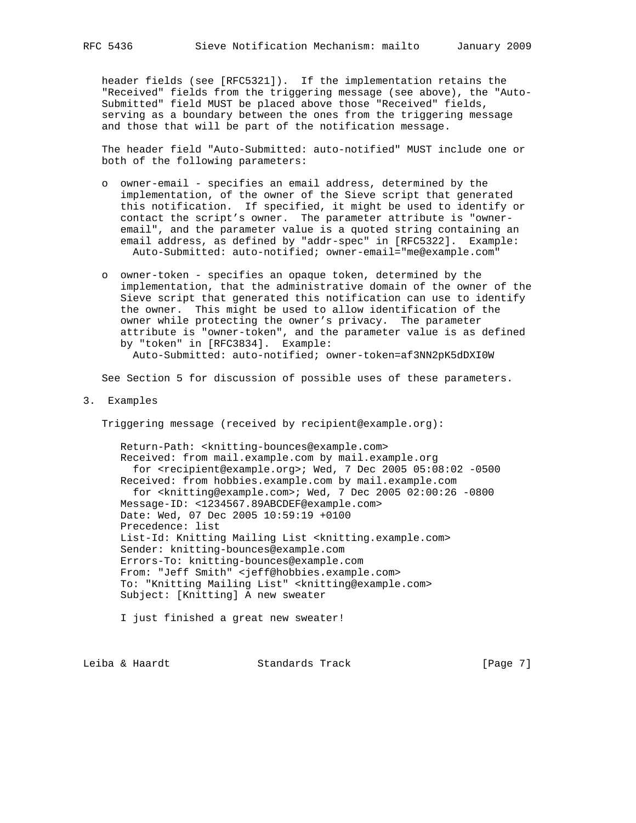header fields (see [RFC5321]). If the implementation retains the "Received" fields from the triggering message (see above), the "Auto- Submitted" field MUST be placed above those "Received" fields, serving as a boundary between the ones from the triggering message and those that will be part of the notification message.

 The header field "Auto-Submitted: auto-notified" MUST include one or both of the following parameters:

- o owner-email specifies an email address, determined by the implementation, of the owner of the Sieve script that generated this notification. If specified, it might be used to identify or contact the script's owner. The parameter attribute is "owner email", and the parameter value is a quoted string containing an email address, as defined by "addr-spec" in [RFC5322]. Example: Auto-Submitted: auto-notified; owner-email="me@example.com"
- o owner-token specifies an opaque token, determined by the implementation, that the administrative domain of the owner of the Sieve script that generated this notification can use to identify the owner. This might be used to allow identification of the owner while protecting the owner's privacy. The parameter attribute is "owner-token", and the parameter value is as defined by "token" in [RFC3834]. Example: Auto-Submitted: auto-notified; owner-token=af3NN2pK5dDXI0W

See Section 5 for discussion of possible uses of these parameters.

3. Examples

Triggering message (received by recipient@example.org):

 Return-Path: <knitting-bounces@example.com> Received: from mail.example.com by mail.example.org for <recipient@example.org>; Wed, 7 Dec 2005 05:08:02 -0500 Received: from hobbies.example.com by mail.example.com for <knitting@example.com>; Wed, 7 Dec 2005 02:00:26 -0800 Message-ID: <1234567.89ABCDEF@example.com> Date: Wed, 07 Dec 2005 10:59:19 +0100 Precedence: list List-Id: Knitting Mailing List <knitting.example.com> Sender: knitting-bounces@example.com Errors-To: knitting-bounces@example.com From: "Jeff Smith" <jeff@hobbies.example.com> To: "Knitting Mailing List" <knitting@example.com> Subject: [Knitting] A new sweater

I just finished a great new sweater!

Leiba & Haardt Standards Track [Page 7]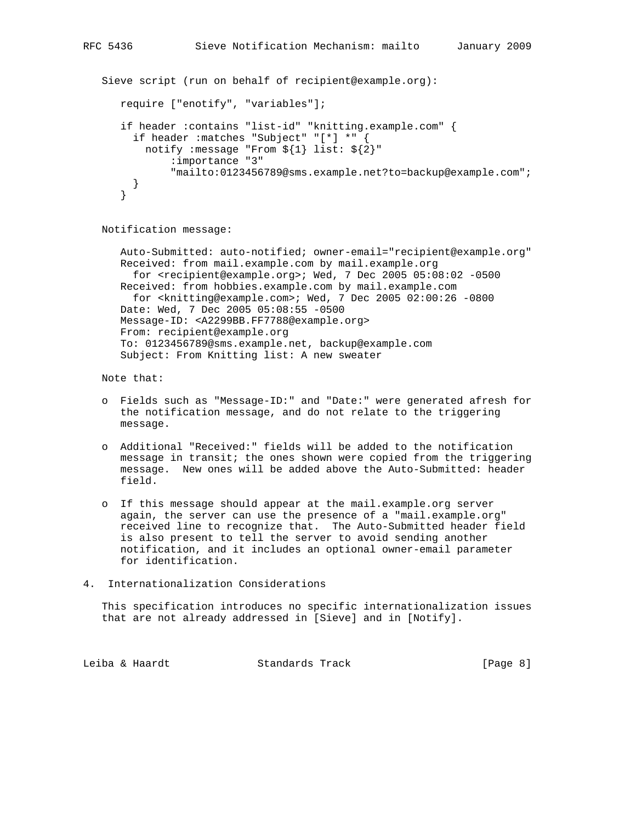```
 Sieve script (run on behalf of recipient@example.org):
require ["enotify", "variables"];
 if header :contains "list-id" "knitting.example.com" {
   if header :matches "Subject" "[*] *" {
    notify :message "From ${1} list: ${2}"
         :importance "3"
         "mailto:0123456789@sms.example.net?to=backup@example.com";
  }
```
Notification message:

 Auto-Submitted: auto-notified; owner-email="recipient@example.org" Received: from mail.example.com by mail.example.org for <recipient@example.org>; Wed, 7 Dec 2005 05:08:02 -0500 Received: from hobbies.example.com by mail.example.com for <knitting@example.com>; Wed, 7 Dec 2005 02:00:26 -0800 Date: Wed, 7 Dec 2005 05:08:55 -0500 Message-ID: <A2299BB.FF7788@example.org> From: recipient@example.org To: 0123456789@sms.example.net, backup@example.com Subject: From Knitting list: A new sweater

Note that:

}

- o Fields such as "Message-ID:" and "Date:" were generated afresh for the notification message, and do not relate to the triggering message.
- o Additional "Received:" fields will be added to the notification message in transit; the ones shown were copied from the triggering message. New ones will be added above the Auto-Submitted: header field.
- o If this message should appear at the mail.example.org server again, the server can use the presence of a "mail.example.org" received line to recognize that. The Auto-Submitted header field is also present to tell the server to avoid sending another notification, and it includes an optional owner-email parameter for identification.
- 4. Internationalization Considerations

 This specification introduces no specific internationalization issues that are not already addressed in [Sieve] and in [Notify].

Leiba & Haardt Standards Track [Page 8]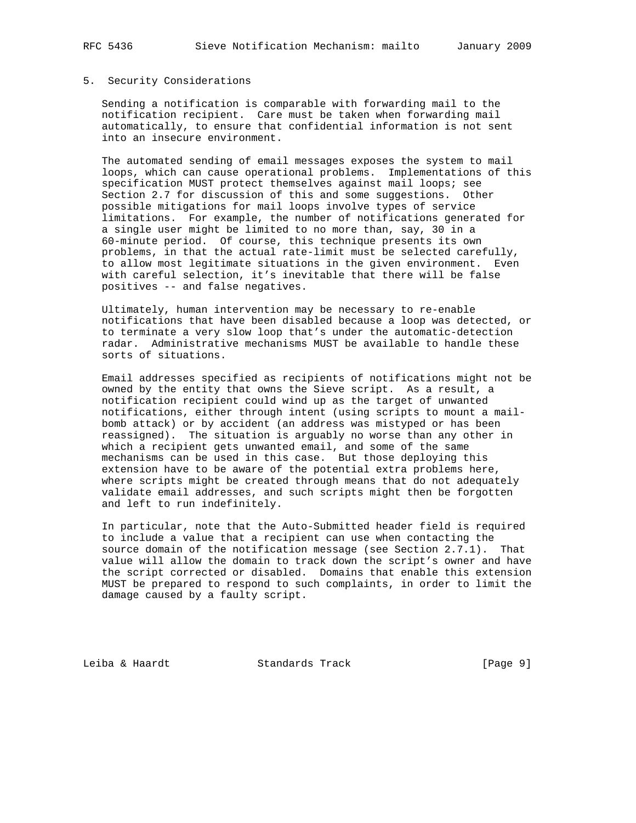#### 5. Security Considerations

 Sending a notification is comparable with forwarding mail to the notification recipient. Care must be taken when forwarding mail automatically, to ensure that confidential information is not sent into an insecure environment.

 The automated sending of email messages exposes the system to mail loops, which can cause operational problems. Implementations of this specification MUST protect themselves against mail loops; see Section 2.7 for discussion of this and some suggestions. Other possible mitigations for mail loops involve types of service limitations. For example, the number of notifications generated for a single user might be limited to no more than, say, 30 in a 60-minute period. Of course, this technique presents its own problems, in that the actual rate-limit must be selected carefully, to allow most legitimate situations in the given environment. Even with careful selection, it's inevitable that there will be false positives -- and false negatives.

 Ultimately, human intervention may be necessary to re-enable notifications that have been disabled because a loop was detected, or to terminate a very slow loop that's under the automatic-detection radar. Administrative mechanisms MUST be available to handle these sorts of situations.

 Email addresses specified as recipients of notifications might not be owned by the entity that owns the Sieve script. As a result, a notification recipient could wind up as the target of unwanted notifications, either through intent (using scripts to mount a mail bomb attack) or by accident (an address was mistyped or has been reassigned). The situation is arguably no worse than any other in which a recipient gets unwanted email, and some of the same mechanisms can be used in this case. But those deploying this extension have to be aware of the potential extra problems here, where scripts might be created through means that do not adequately validate email addresses, and such scripts might then be forgotten and left to run indefinitely.

 In particular, note that the Auto-Submitted header field is required to include a value that a recipient can use when contacting the source domain of the notification message (see Section 2.7.1). That value will allow the domain to track down the script's owner and have the script corrected or disabled. Domains that enable this extension MUST be prepared to respond to such complaints, in order to limit the damage caused by a faulty script.

Leiba & Haardt Standards Track [Page 9]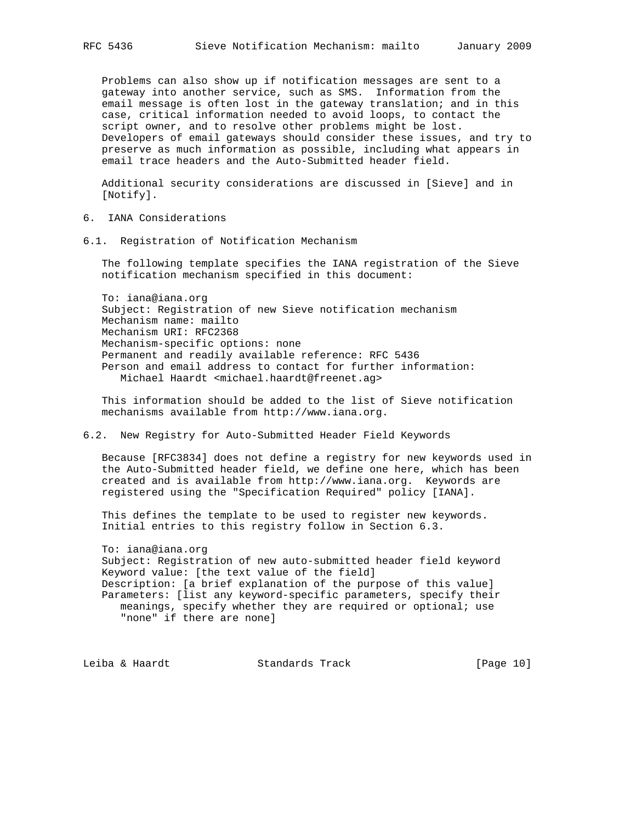Problems can also show up if notification messages are sent to a gateway into another service, such as SMS. Information from the email message is often lost in the gateway translation; and in this case, critical information needed to avoid loops, to contact the script owner, and to resolve other problems might be lost. Developers of email gateways should consider these issues, and try to preserve as much information as possible, including what appears in email trace headers and the Auto-Submitted header field.

 Additional security considerations are discussed in [Sieve] and in [Notify].

- 6. IANA Considerations
- 6.1. Registration of Notification Mechanism

 The following template specifies the IANA registration of the Sieve notification mechanism specified in this document:

 To: iana@iana.org Subject: Registration of new Sieve notification mechanism Mechanism name: mailto Mechanism URI: RFC2368 Mechanism-specific options: none Permanent and readily available reference: RFC 5436 Person and email address to contact for further information: Michael Haardt <michael.haardt@freenet.ag>

 This information should be added to the list of Sieve notification mechanisms available from http://www.iana.org.

6.2. New Registry for Auto-Submitted Header Field Keywords

 Because [RFC3834] does not define a registry for new keywords used in the Auto-Submitted header field, we define one here, which has been created and is available from http://www.iana.org. Keywords are registered using the "Specification Required" policy [IANA].

 This defines the template to be used to register new keywords. Initial entries to this registry follow in Section 6.3.

 To: iana@iana.org Subject: Registration of new auto-submitted header field keyword Keyword value: [the text value of the field] Description: [a brief explanation of the purpose of this value] Parameters: [list any keyword-specific parameters, specify their meanings, specify whether they are required or optional; use "none" if there are none]

Leiba & Haardt Standards Track [Page 10]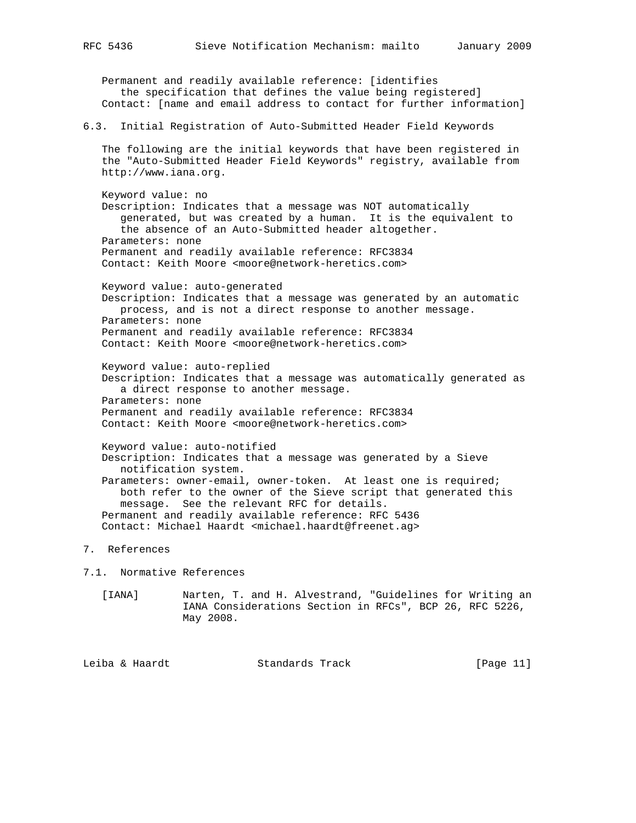Permanent and readily available reference: [identifies the specification that defines the value being registered] Contact: [name and email address to contact for further information] 6.3. Initial Registration of Auto-Submitted Header Field Keywords The following are the initial keywords that have been registered in the "Auto-Submitted Header Field Keywords" registry, available from http://www.iana.org. Keyword value: no Description: Indicates that a message was NOT automatically generated, but was created by a human. It is the equivalent to the absence of an Auto-Submitted header altogether. Parameters: none Permanent and readily available reference: RFC3834 Contact: Keith Moore <moore@network-heretics.com> Keyword value: auto-generated Description: Indicates that a message was generated by an automatic process, and is not a direct response to another message. Parameters: none Permanent and readily available reference: RFC3834 Contact: Keith Moore <moore@network-heretics.com> Keyword value: auto-replied Description: Indicates that a message was automatically generated as a direct response to another message. Parameters: none Permanent and readily available reference: RFC3834 Contact: Keith Moore <moore@network-heretics.com> Keyword value: auto-notified Description: Indicates that a message was generated by a Sieve notification system. Parameters: owner-email, owner-token. At least one is required; both refer to the owner of the Sieve script that generated this message. See the relevant RFC for details. Permanent and readily available reference: RFC 5436 Contact: Michael Haardt <michael.haardt@freenet.ag>

7. References

7.1. Normative References

 [IANA] Narten, T. and H. Alvestrand, "Guidelines for Writing an IANA Considerations Section in RFCs", BCP 26, RFC 5226, May 2008.

Leiba & Haardt Standards Track [Page 11]